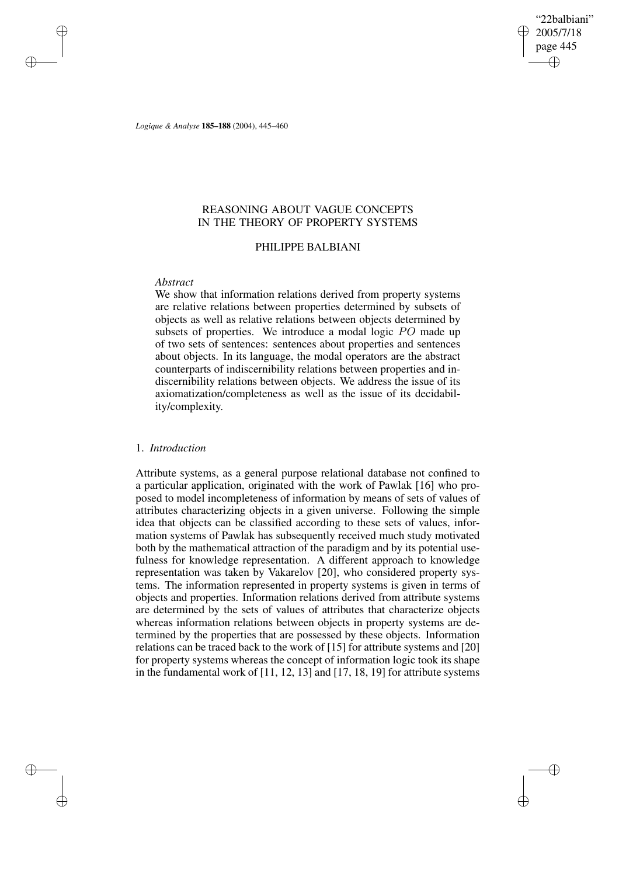"22balbiani" 2005/7/18 page 445 ✐ ✐

✐

✐

*Logique & Analyse* **185–188** (2004), 445–460

# REASONING ABOUT VAGUE CONCEPTS IN THE THEORY OF PROPERTY SYSTEMS

## PHILIPPE BALBIANI

## *Abstract*

✐

✐

✐

✐

We show that information relations derived from property systems are relative relations between properties determined by subsets of objects as well as relative relations between objects determined by subsets of properties. We introduce a modal logic PO made up of two sets of sentences: sentences about properties and sentences about objects. In its language, the modal operators are the abstract counterparts of indiscernibility relations between properties and indiscernibility relations between objects. We address the issue of its axiomatization/completeness as well as the issue of its decidability/complexity.

# 1. *Introduction*

Attribute systems, as a general purpose relational database not confined to a particular application, originated with the work of Pawlak [16] who proposed to model incompleteness of information by means of sets of values of attributes characterizing objects in a given universe. Following the simple idea that objects can be classified according to these sets of values, information systems of Pawlak has subsequently received much study motivated both by the mathematical attraction of the paradigm and by its potential usefulness for knowledge representation. A different approach to knowledge representation was taken by Vakarelov [20], who considered property systems. The information represented in property systems is given in terms of objects and properties. Information relations derived from attribute systems are determined by the sets of values of attributes that characterize objects whereas information relations between objects in property systems are determined by the properties that are possessed by these objects. Information relations can be traced back to the work of [15] for attribute systems and [20] for property systems whereas the concept of information logic took its shape in the fundamental work of [11, 12, 13] and [17, 18, 19] for attribute systems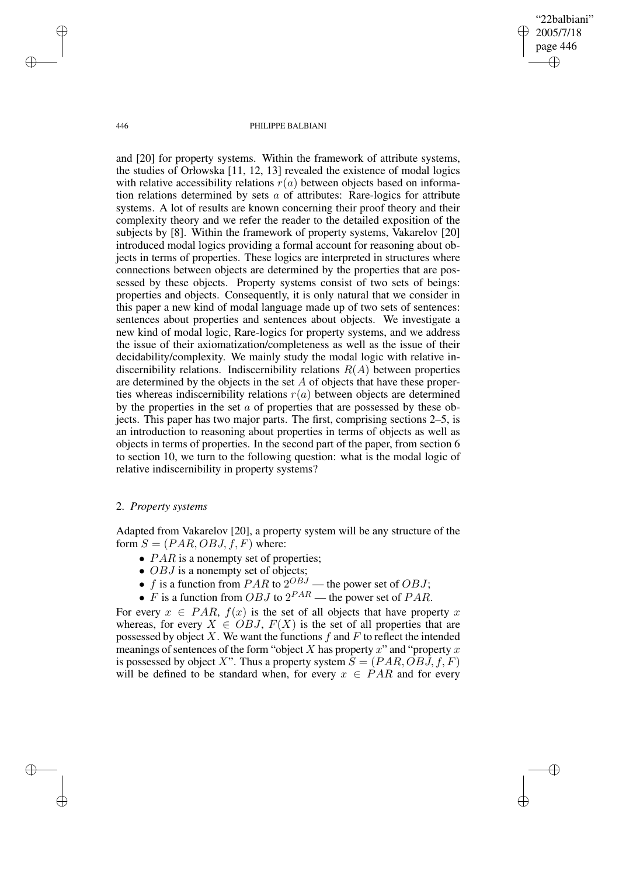2005/7/18 page 446 ✐ ✐

✐

✐

"22balbiani"

#### 446 PHILIPPE BALBIANI

and [20] for property systems. Within the framework of attribute systems, the studies of Orłowska [11, 12, 13] revealed the existence of modal logics with relative accessibility relations  $r(a)$  between objects based on information relations determined by sets  $\alpha$  of attributes: Rare-logics for attribute systems. A lot of results are known concerning their proof theory and their complexity theory and we refer the reader to the detailed exposition of the subjects by [8]. Within the framework of property systems, Vakarelov [20] introduced modal logics providing a formal account for reasoning about objects in terms of properties. These logics are interpreted in structures where connections between objects are determined by the properties that are possessed by these objects. Property systems consist of two sets of beings: properties and objects. Consequently, it is only natural that we consider in this paper a new kind of modal language made up of two sets of sentences: sentences about properties and sentences about objects. We investigate a new kind of modal logic, Rare-logics for property systems, and we address the issue of their axiomatization/completeness as well as the issue of their decidability/complexity. We mainly study the modal logic with relative indiscernibility relations. Indiscernibility relations  $R(A)$  between properties are determined by the objects in the set  $A$  of objects that have these properties whereas indiscernibility relations  $r(a)$  between objects are determined by the properties in the set  $\alpha$  of properties that are possessed by these objects. This paper has two major parts. The first, comprising sections 2–5, is an introduction to reasoning about properties in terms of objects as well as objects in terms of properties. In the second part of the paper, from section 6 to section 10, we turn to the following question: what is the modal logic of relative indiscernibility in property systems?

## 2. *Property systems*

Adapted from Vakarelov [20], a property system will be any structure of the form  $S = (PAR, OBJ, f, F)$  where:

- $PAR$  is a nonempty set of properties;
- $OBJ$  is a nonempty set of objects;
- f is a function from PAR to  $2^{OBJ}$  the power set of OBJ;
- $\bullet$  F is a function from OBJ to  $2^{PAR}$  the power set of PAR.

For every  $x \in PAR$ ,  $f(x)$  is the set of all objects that have property x whereas, for every  $X \in OBJ$ ,  $F(X)$  is the set of all properties that are possessed by object X. We want the functions  $f$  and  $F$  to reflect the intended meanings of sentences of the form "object X has property x" and "property x" is possessed by object X". Thus a property system  $S = (PAR, OBJ, f, F)$ will be defined to be standard when, for every  $x \in PAR$  and for every

✐

✐

✐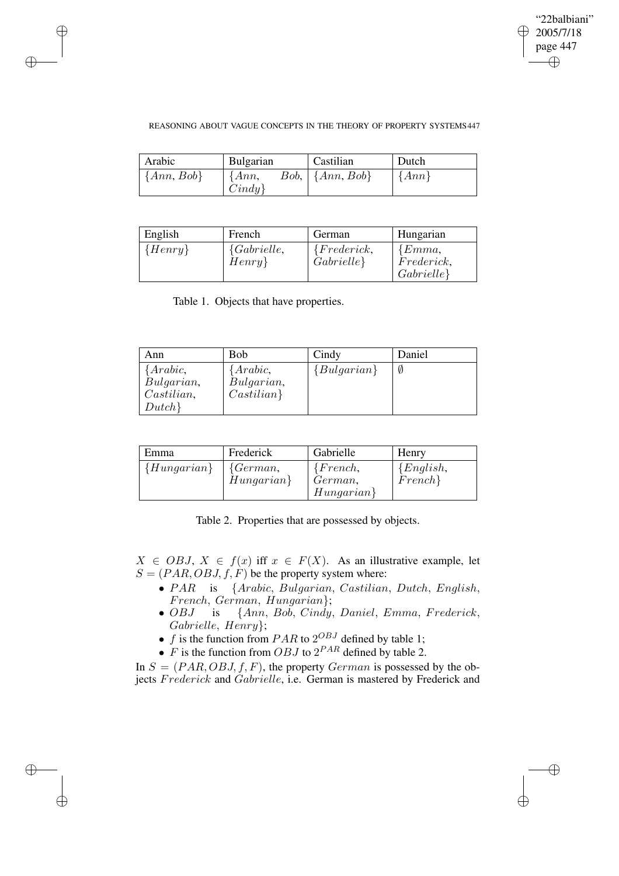✐

## REASONING ABOUT VAGUE CONCEPTS IN THE THEORY OF PROPERTY SYSTEMS447

| Arabic         | <b>Bulgarian</b>      | Castilian                 | Dutch     |
|----------------|-----------------------|---------------------------|-----------|
| $\{Ann, Bob\}$ | $\{Ann,$<br>$Cindy\}$ | $Bob, \vert \{Ann, Bob\}$ | $\{Ann\}$ |

| English                 | French                       | German                      | Hungarian                             |
|-------------------------|------------------------------|-----------------------------|---------------------------------------|
| $\langle Henry \rangle$ | ${Gabrielle}$ ,<br>$Henry\}$ | ${Frederick,}$<br>Gabrielle | ${Emma}$ ,<br>Frederick,<br>Gabrielle |

Table 1. Objects that have properties.

✐

✐

✐

✐

| Ann                                                     | Bob                                               | Cindy         | Daniel |
|---------------------------------------------------------|---------------------------------------------------|---------------|--------|
| Arabic,<br>Bulgarian,<br>$\textit{Castilian},$<br>Dutch | $\{Arabic,$<br>Bulgarian,<br>$\textit{Castilian}$ | ${Bulgarian}$ |        |

| Emma            | Frederick                | Gabrielle                           | Henry                  |
|-----------------|--------------------------|-------------------------------------|------------------------|
| $\{Hungarian\}$ | ${German,}$<br>Hungarian | ${French,}$<br>German,<br>Hungarian | ${English,}$<br>French |

Table 2. Properties that are possessed by objects.

 $X \in OBJ$ ,  $X \in f(x)$  iff  $x \in F(X)$ . As an illustrative example, let  $S = (PAR, OBJ, f, F)$  be the property system where:

- PAR is {Arabic, Bulgarian, Castilian, Dutch, English, French, German, Hungarian $\{Smn, B$ , German, Hungarian $\}$ ;
- ${Ann, Bob, Cindy, Daniel, Emma, Frederick, }$ Gabrielle, Henry};
- f is the function from  $PAR$  to  $2^{OBJ}$  defined by table 1;
- $\overline{F}$  is the function from OBJ to  $2^{PAR}$  defined by table 2.

In  $S = (PAR, OBJ, f, F)$ , the property *German* is possessed by the objects Frederick and Gabrielle, i.e. German is mastered by Frederick and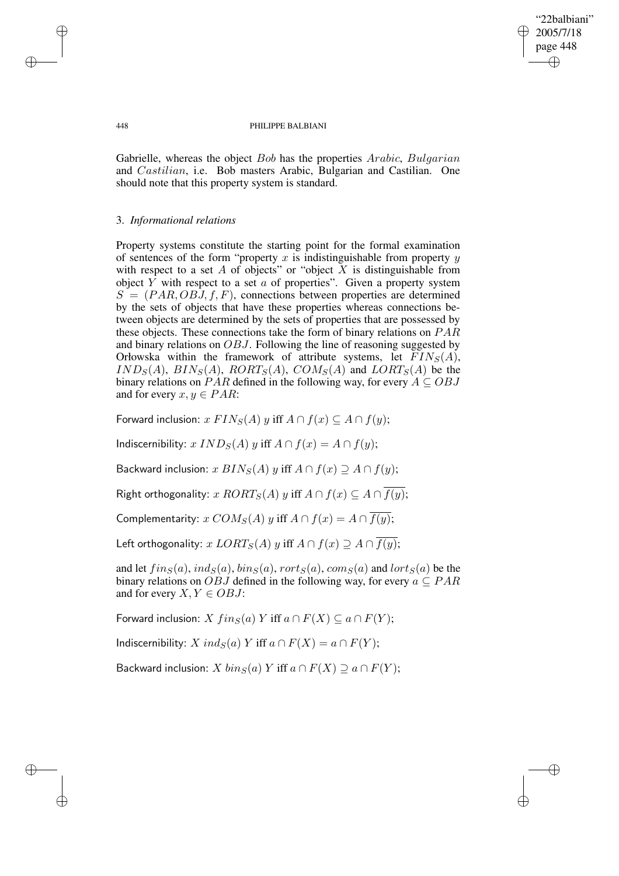"22balbiani" 2005/7/18 page 448 ✐ ✐

✐

✐

#### 448 PHILIPPE BALBIANI

Gabrielle, whereas the object Bob has the properties Arabic, Bulgarian and Castilian, i.e. Bob masters Arabic, Bulgarian and Castilian. One should note that this property system is standard.

## 3. *Informational relations*

Property systems constitute the starting point for the formal examination of sentences of the form "property  $x$  is indistinguishable from property  $y$ with respect to a set  $A$  of objects" or "object  $X$  is distinguishable from object Y with respect to a set a of properties". Given a property system  $S = (PAR, OBJ, f, F)$ , connections between properties are determined by the sets of objects that have these properties whereas connections between objects are determined by the sets of properties that are possessed by these objects. These connections take the form of binary relations on  $PAR$ and binary relations on OBJ. Following the line of reasoning suggested by Orłowska within the framework of attribute systems, let  $FIN_S(A)$ ,  $IND_S(A), BIN_S(A), RORT_S(A), COM_S(A)$  and  $LORT_S(A)$  be the binary relations on PAR defined in the following way, for every  $A \subseteq OBJ$ and for every  $x, y \in PAR$ :

Forward inclusion:  $x$   $FIN_S(A)$   $y$  iff  $A \cap f(x) \subseteq A \cap f(y)$ ;

Indiscernibility:  $x \, IND_S(A) \, y$  iff  $A \cap f(x) = A \cap f(y)$ ;

Backward inclusion:  $x \, BIN_S(A) \, y$  iff  $A \cap f(x) \supseteq A \cap f(y)$ ;

Right orthogonality: x  $RORT_S(A)$  y iff  $A \cap f(x) \subseteq A \cap f(y)$ ;

Complementarity:  $x \text{ COM}_S(A)$  y iff  $A \cap f(x) = A \cap \overline{f(y)}$ ;

Left orthogonality:  $x$   $LORT_S(A)$   $y$  iff  $A \cap f(x) \supseteq A \cap f(y)$ ;

and let  $fing(a)$ ,  $ind_S(a)$ ,  $bins(a)$ ,  $rort_S(a)$ ,  $com_S(a)$  and  $lort_S(a)$  be the binary relations on *OBJ* defined in the following way, for every  $a \subseteq PAR$ and for every  $X, Y \in OBJ$ :

Forward inclusion: X  $fins(a)$  Y iff  $a \cap F(X) \subseteq a \cap F(Y)$ ;

Indiscernibility:  $X \text{ ind}_S(a) Y$  iff  $a \cap F(X) = a \cap F(Y)$ ;

Backward inclusion: X  $bin_S(a)$  Y iff  $a \cap F(X) \supset a \cap F(Y)$ ;

✐

✐

✐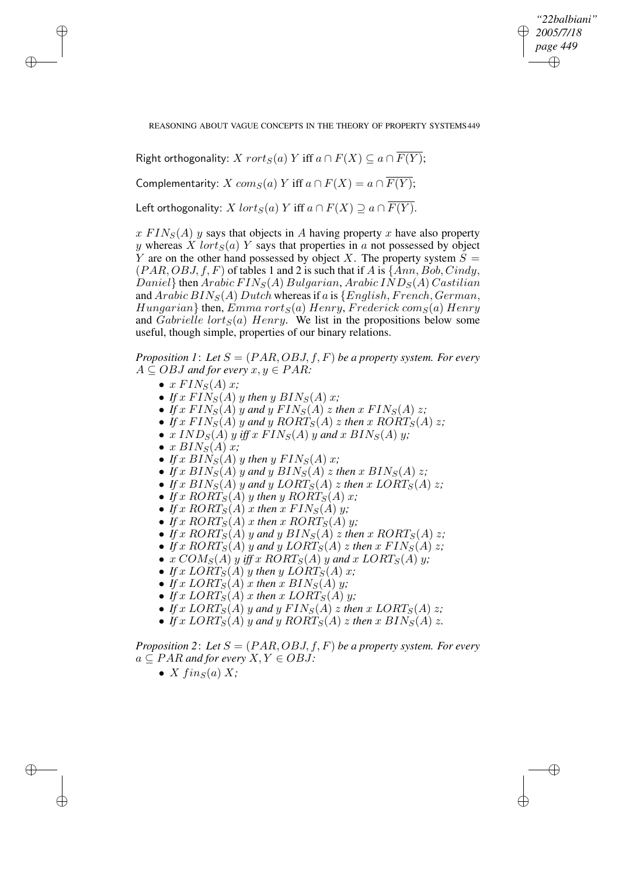*"22balbiani" 2005/7/18 page 449* ✐ ✐

✐

✐

REASONING ABOUT VAGUE CONCEPTS IN THE THEORY OF PROPERTY SYSTEMS449

Right orthogonality: X  $rort_S(a)$  Y iff  $a \cap F(X) \subseteq a \cap \overline{F(Y)}$ ;

Complementarity: X  $com_S(a)$  Y iff  $a \cap F(X) = a \cap \overline{F(Y)}$ ;

Left orthogonality: X  $lort_S(a)$  Y iff  $a \cap F(X) \supseteq a \cap F(Y)$ .

 $x$  FIN<sub>S</sub>(A) y says that objects in A having property x have also property y whereas X lort $_S(a)$  Y says that properties in a not possessed by object Y are on the other hand possessed by object X. The property system  $S =$  $(PAR, OBJ, f, F)$  of tables 1 and 2 is such that if A is  $\{Ann, Bob, Cindy, \}$ Daniel} then Arabic  $FIN_S(A)$  Bulgarian, Arabic  $IND_S(A)$  Castilian and  $Arabic BIN<sub>S</sub>(A) Dutch whereas if a is {English, French, German,$  $Hungarian$ } then, Emma rort $_S(a)$  Henry, Frederick com $_S(a)$  Henry and Gabrielle lort<sub>S</sub>(a) Henry. We list in the propositions below some useful, though simple, properties of our binary relations.

*Proposition 1: Let*  $S = (PAR, OBJ, f, F)$  *be a property system. For every*  $A \subseteq OBJ$  *and for every*  $x, y \in PAR$ :

•  $x$   $FIN_S(A)$   $x$ ;

✐

✐

✐

✐

- If  $x$  FIN<sub>S</sub>(A)  $y$  then  $y$  BIN<sub>S</sub>(A)  $x$ ;
- If x  $FIN_S(A)$  y and y  $FIN_S(A)$  z then x  $FIN_S(A)$  z;
- If x  $FIN_S(A)$  y and y  $RORT_S(A)$  z then x  $RORT_S(A)$  z;
- $x \, IND<sub>S</sub>(A)$  y iff  $x \, FIN<sub>S</sub>(A)$  y and  $x \, BIN<sub>S</sub>(A)$  y;
- $x$   $BIN_S(A)x$ ;
- If  $x$   $BIN_S(A)$   $y$  then  $y$   $FIN_S(A)$   $x$ ;
- If x  $BIN_S(A)$  y and y  $BIN_S(A)$  z then x  $BIN_S(A)$  z;
- If x  $BIN_S(A)$  y and y  $LORT_S(A)$  z then x  $LORT_S(A)$  z;
- If x  $RORT_S(A)$  y then y  $RORT_S(A)$  x;
- If x  $RORT_S(A)$  x then x  $FIN_S(A)$  y;
- If x  $RORT_S(A)$  x then x  $RORT_S(A)$  y;
- If x  $RORT_S(A)$  y and y  $BIN_S(A)$  z then x  $RORT_S(A)$  z;
- If x  $RORT_S(A)$  y and y  $LORT_S(A)$  z then x  $FIN_S(A)$  z;
- $x \text{ COM}_S(A)$  y iff x  $RORT_S(A)$  y and x  $LORT_S(A)$  y;
- If x  $LORT_S(A)$  y then y  $LORT_S(A)$  x;
- If x  $LORT_S(A)$  x then x  $BIN_S(A)$  y;
- If x  $LORT_S(A)$  x then x  $LORT_S(A)$  y;
- If x  $LORT_S(A)$  y and y  $FIN_S(A)$  z then x  $LORT_S(A)$  z;
- If x  $LORT_S(A)$  y and y  $RORT_S(A)$  z then x  $BIN_S(A)$  z.

*Proposition* 2: Let  $S = (PAR, OBJ, f, F)$  *be a property system. For every*  $a \subseteq PAR$  *and for every*  $X, Y \in OBJ$ :

•  $X \, \text{f} \, \text{in}_S(a) \, X;$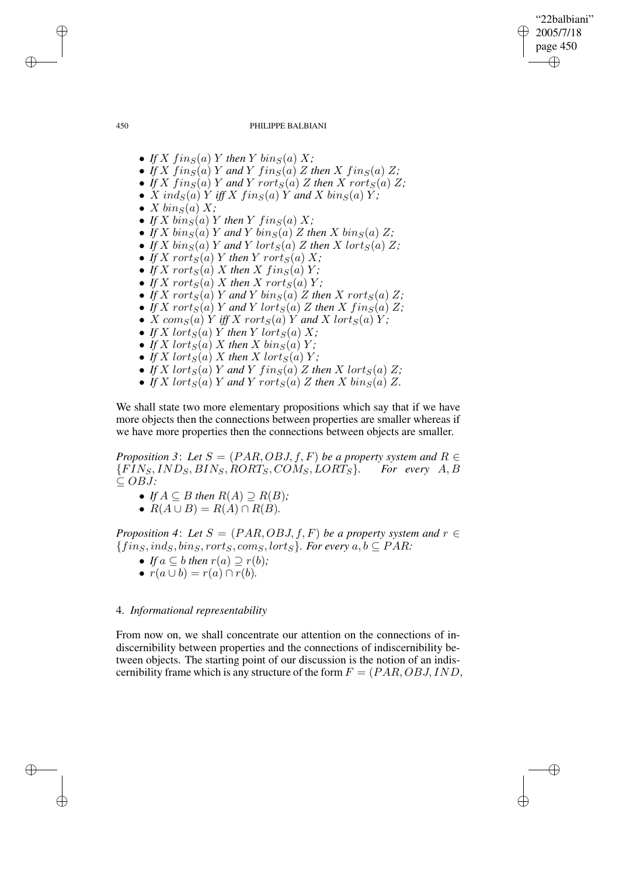# "22balbiani" 2005/7/18 page 450 ✐ ✐

✐

✐

#### 450 PHILIPPE BALBIANI

- If  $X$   $f$ *in*<sub>S</sub> $(a)$   $Y$  *then*  $Y$   $\frac{bin_0}{0}$   $X$ *;*
- If X  $fing(a)$  Y and Y  $fing(a)$  Z then X  $fing(a)$  Z;
- If X fin<sub>S</sub>(a)</sub> Y and Y rort<sub>S</sub>(a) Z then X rort<sub>S</sub>(a) Z;
- $X \text{ ind}_S(a) Y \text{ iff } X \text{ fin}_S(a) Y \text{ and } X \text{ bin}_S(a) Y;$
- $X \, \text{bin}_S(a) \, X;$
- If X  $\frac{\partial f}{\partial x}$  in S(a) Y then Y  $\lim_{S}(a)$  X;
- If X  $\binom{bin_S(a)}{Y}$  and Y  $\binom{bin_S(a)}{Z}$  then X  $\binom{bin_S(a)}{Z}$ ;
- If X  $\binom{bin_S(a)}{Y}$  and Y  $\frac{left_S(a)}{Z}$  then X  $\frac{left_S(a)}{Z}$ ;
- If X rort $_S(a)$  Y then Y rort $_S(a)$  X;
- If X rort<sub>S</sub>(a) X then X  $fing(a)$  Y;
- If X rorts $(a)$  X then X rorts $(a)$  Y;
- If X rort<sub>S</sub>(a) Y and Y  $bin_S(a)$  Z then X rort<sub>S</sub>(a) Z;
- If X rort<sub>S</sub>(a) Y and Y lort<sub>S</sub>(a) Z then X fin<sub>S</sub>(a) Z;
- X  $com_S(a)$  Y *iff* X  $rot_S(a)$  Y *and* X  $lort_S(a)$  Y;
- If X lort<sub>S</sub>(a) Y then Y lort<sub>S</sub>(a) X;
- If X lort<sub>S</sub>(a) X then X bin<sub>S</sub>(a) Y;
- If  $X$  lort $_S(a)$   $X$  then  $X$  lort $_S(a)$   $Y$ ;
- If X lort<sub>S</sub>(a) Y and Y  $fing(a) Z$  then X lort<sub>S</sub>(a) Z;
- If X lort<sub>S</sub>(a) Y and Y rort<sub>S</sub>(a) Z then X  $\delta$ in<sub>S</sub>(a) Z.

We shall state two more elementary propositions which say that if we have more objects then the connections between properties are smaller whereas if we have more properties then the connections between objects are smaller.

*Proposition* 3: Let  $S = (PAR, OBJ, f, F)$  be a property system and  $R \in$ {FINS, INDS, BINS, RORTS, COMS,LORTS}*. For every* A, B ⊆ OBJ*:*

- *If*  $A \subseteq B$  *then*  $R(A) \supseteq R(B)$ *;*
- $R(A \cup B) = R(A) \cap R(B)$ .

*Proposition* 4: Let  $S = (PAR, OBJ, f, F)$  *be a property system and*  $r \in$  ${fins, ind<sub>S</sub>, bins, rort<sub>S</sub>, com<sub>S</sub>, lort<sub>S</sub>}$ *. For every*  $a, b \subseteq PAR$ *:* 

- *If*  $a \subseteq b$  *then*  $r(a) \supseteq r(b)$ ;
- $r(a \cup b) = r(a) \cap r(b)$ .

## 4. *Informational representability*

From now on, we shall concentrate our attention on the connections of indiscernibility between properties and the connections of indiscernibility between objects. The starting point of our discussion is the notion of an indiscernibility frame which is any structure of the form  $F = (PAR, OBJ, IND,$ 

✐

✐

✐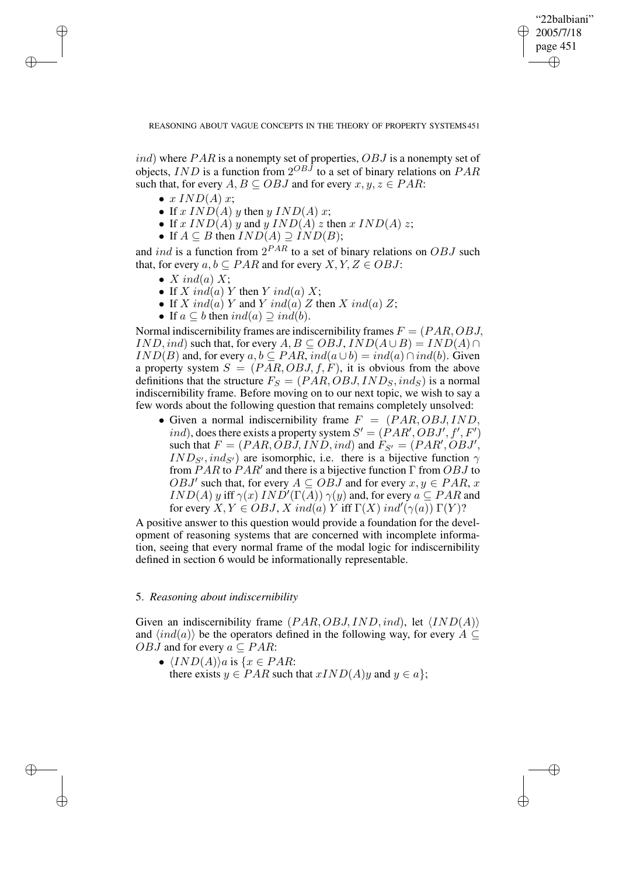✐

REASONING ABOUT VAGUE CONCEPTS IN THE THEORY OF PROPERTY SYSTEMS451

 $ind$ ) where  $PAR$  is a nonempty set of properties,  $OBJ$  is a nonempty set of objects, IND is a function from  $2^{OBJ}$  to a set of binary relations on  $PAR$ such that, for every  $A, B \subseteq OBJ$  and for every  $x, y, z \in PAR$ :

•  $x$   $IND(A)$   $x;$ 

✐

✐

✐

✐

- If  $x \, IND(A) \, y$  then  $y \, IND(A) \, x$ ;
- If x  $IND(A)$  y and y  $IND(A)$  z then x  $IND(A)$  z;
- If  $A \subseteq B$  then  $IND(A) \supseteq IND(B)$ ;

and *ind* is a function from  $2^{PAR}$  to a set of binary relations on  $OBJ$  such that, for every  $a, b \subseteq PAR$  and for every  $X, Y, Z \in OBJ$ :

- $X$  ind(a)  $X$ ;
- If X ind(a) Y then Y ind(a) X;
- If X ind(a) Y and Y ind(a) Z then X ind(a) Z;
- If  $a \subseteq b$  then  $ind(a) \supset ind(b)$ .

Normal indiscernibility frames are indiscernibility frames  $F = (PAR, OBJ,$  $IND,ind)$  such that, for every  $A, B \subseteq OBJ$ ,  $IND(A \cup B) = IND(A) \cap$  $IND(B)$  and, for every  $a, b \subseteq PAR$ ,  $ind(a \cup b) = ind(a) \cap ind(b)$ . Given a property system  $S = (PAR, OBJ, f, F)$ , it is obvious from the above definitions that the structure  $F_S = (PAR, OBJ, IND_S, ind_S)$  is a normal indiscernibility frame. Before moving on to our next topic, we wish to say a few words about the following question that remains completely unsolved:

• Given a normal indiscernibility frame  $F = (PAR, OBJ, IND, ISD)$ ind), does there exists a property system  $S' = (PAR', OBJ', f', F')$ such that  $F = (PAR, OBJ, IND, ind)$  and  $F_{S'} = (PAR', OBJ',$  $IND_{S'}$ ,  $ind_{S'}$ ) are isomorphic, i.e. there is a bijective function  $\gamma$ from  $PAR$  to  $PAR'$  and there is a bijective function  $\Gamma$  from  $OBJ$  to  $OBJ'$  such that, for every  $A \subseteq OBJ$  and for every  $x, y \in PAR$ , x  $IND(A)$  y iff  $\gamma(x)$   $IND'(\Gamma(\overline{A}))$   $\gamma(y)$  and, for every  $a \subseteq PAR$  and for every  $X, Y \in \mathcal{O}BJ$ ,  $X \in \mathcal{O}$  ind(a)  $Y$  iff  $\Gamma(X) \in \mathcal{O}(X)$  ind'( $\gamma(a)$ )  $\Gamma(Y)$ ?

A positive answer to this question would provide a foundation for the development of reasoning systems that are concerned with incomplete information, seeing that every normal frame of the modal logic for indiscernibility defined in section 6 would be informationally representable.

## 5. *Reasoning about indiscernibility*

Given an indiscernibility frame  $(PAR, OBJ, IND, ind)$ , let  $\langle IND(A) \rangle$ and  $\langle ind(a)\rangle$  be the operators defined in the following way, for every A ⊆ *OBJ* and for every  $a \subseteq PAR$ :

•  $\langle IND(A)\rangle a$  is  $\{x \in PAR:$ there exists  $y \in PAR$  such that  $xIND(A)y$  and  $y \in a$ ;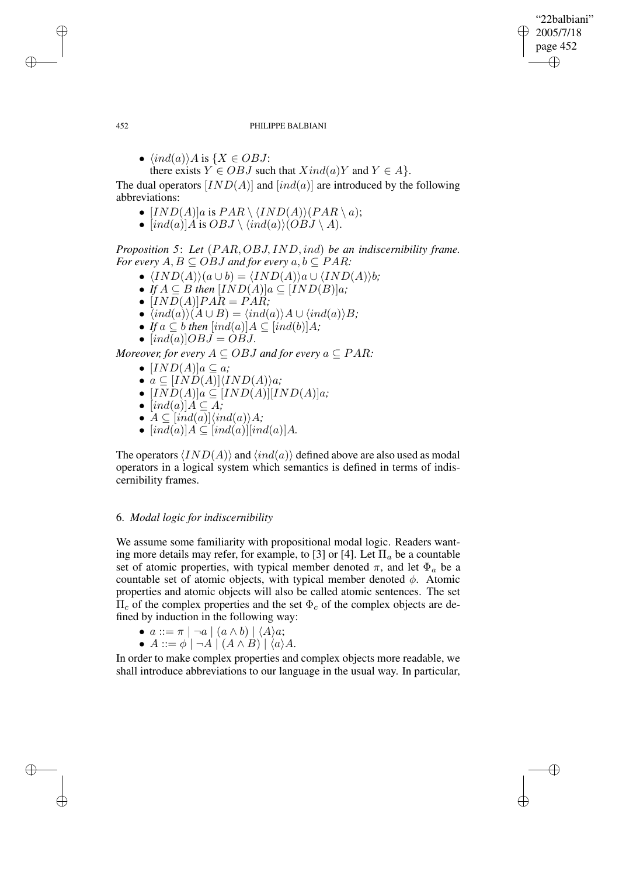"22balbiani" 2005/7/18 page 452 ✐ ✐

✐

✐

## 452 PHILIPPE BALBIANI

•  $\langle ind(a)\rangle A$  is  $\{X \in OBJ\}$ :

there exists  $Y \in OBJ$  such that  $Xind(a)Y$  and  $Y \in A$ .

The dual operators  $[IND(A)]$  and  $[ind(a)]$  are introduced by the following abbreviations:

- $[IND(A)]a$  is  $PAR \setminus (IND(A))(PAR \setminus a);$
- $[ind(a)]A$  is  $OBJ \setminus \langle ind(a) \rangle (OBJ \setminus A)$ .

*Proposition 5*: *Let* (PAR, OBJ, IND,ind) *be an indiscernibility frame. For every*  $A, B \subseteq OBJ$  *and for every*  $a, b \subseteq PAR$ *:* 

- $\langle IND(A)\rangle(a\cup b) = \langle IND(A)\rangle a\cup \langle IND(A)\rangle b;$
- *If*  $A \subseteq B$  *then*  $[IND(A)]a \subseteq [IND(B)]a$ ;
- $[IND(A)]PAR = PAR;$
- $\langle ind(a)\rangle(A\cup B) = \langle ind(a)\rangle A\cup \langle ind(a)\rangle B;$
- *If*  $a \subseteq b$  *then*  $[ind(a)]A \subseteq [ind(b)]A$ ;
- $[ind(a)] \overrightarrow{OBJ} = \overrightarrow{OBJ}$ .

*Moreover, for every*  $A \subseteq OBJ$  *and for every*  $a \subseteq PAR$ *:* 

- $[IND(A)]a \subseteq a$ ;
- $a \subseteq [IND(A)]\langle IND(A)\rangle a;$
- $[IND(A)]a \subseteq [IND(A)][IND(A)]a;$
- $[ind(a)]A \subseteq A$ ;
- $A \subseteq [ind(a)]\langle ind(a)\rangle A;$
- $[ind(a)]A \subseteq [ind(a)][ind(a)]A$ .

The operators  $\langle IND(A)\rangle$  and  $\langle ind(a)\rangle$  defined above are also used as modal operators in a logical system which semantics is defined in terms of indiscernibility frames.

# 6. *Modal logic for indiscernibility*

We assume some familiarity with propositional modal logic. Readers wanting more details may refer, for example, to [3] or [4]. Let  $\Pi_a$  be a countable set of atomic properties, with typical member denoted  $\pi$ , and let  $\Phi_a$  be a countable set of atomic objects, with typical member denoted  $\phi$ . Atomic properties and atomic objects will also be called atomic sentences. The set  $\Pi_c$  of the complex properties and the set  $\Phi_c$  of the complex objects are defined by induction in the following way:

- $a ::= \pi \mid \neg a \mid (a \wedge b) \mid \langle A \rangle a;$
- $A ::= \phi \mid \neg A \mid (A \land B) \mid \langle a \rangle A$ .

In order to make complex properties and complex objects more readable, we shall introduce abbreviations to our language in the usual way. In particular,

✐

✐

✐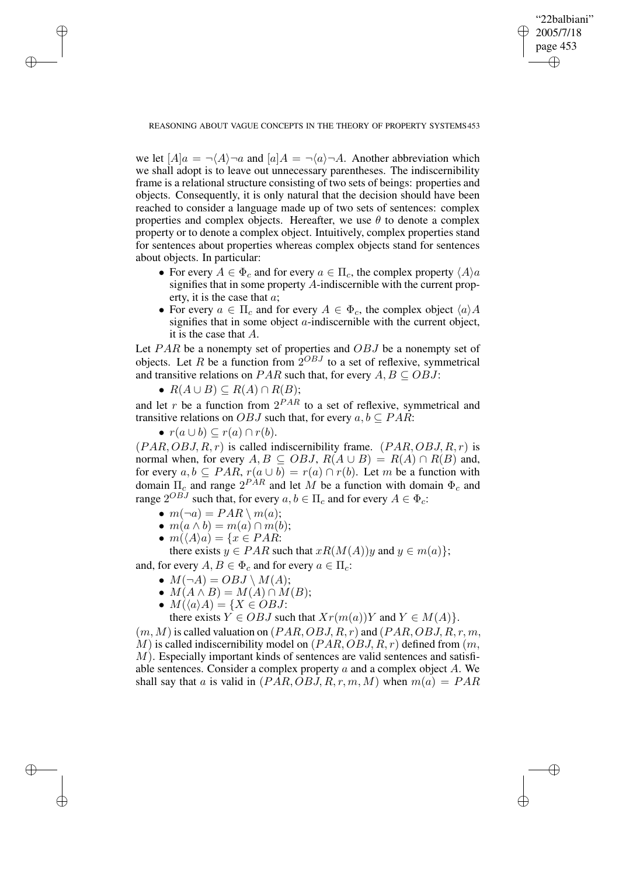✐

## REASONING ABOUT VAGUE CONCEPTS IN THE THEORY OF PROPERTY SYSTEMS453

we let  $[A]a = \neg \langle A \rangle \neg a$  and  $[a]A = \neg \langle a \rangle \neg A$ . Another abbreviation which we shall adopt is to leave out unnecessary parentheses. The indiscernibility frame is a relational structure consisting of two sets of beings: properties and objects. Consequently, it is only natural that the decision should have been reached to consider a language made up of two sets of sentences: complex properties and complex objects. Hereafter, we use  $\theta$  to denote a complex property or to denote a complex object. Intuitively, complex properties stand for sentences about properties whereas complex objects stand for sentences about objects. In particular:

- For every  $A \in \Phi_c$  and for every  $a \in \Pi_c$ , the complex property  $\langle A \rangle a$ signifies that in some property A-indiscernible with the current property, it is the case that a;
- For every  $a \in \Pi_c$  and for every  $A \in \Phi_c$ , the complex object  $\langle a \rangle A$ signifies that in some object  $\alpha$ -indiscernible with the current object, it is the case that A.

Let  $PAR$  be a nonempty set of properties and  $OBJ$  be a nonempty set of objects. Let R be a function from  $2^{OBJ}$  to a set of reflexive, symmetrical and transitive relations on PAR such that, for every  $A, B \subseteq OBJ$ :

•  $R(A \cup B) \subseteq R(A) \cap R(B);$ 

and let r be a function from  $2^{PAR}$  to a set of reflexive, symmetrical and transitive relations on OBJ such that, for every  $a, b \subseteq PAR$ :

•  $r(a \cup b) \subseteq r(a) \cap r(b)$ .

✐

✐

✐

✐

 $(PAR, OBJ, R, r)$  is called indiscernibility frame.  $(PAR, OBJ, R, r)$  is normal when, for every  $A, B \subseteq OBJ$ ,  $R(A \cup B) = R(A) \cap R(B)$  and, for every  $a, b \subseteq PAR$ ,  $r(a \cup b) = r(a) \cap r(b)$ . Let m be a function with domain  $\Pi_c$  and range  $2^{PAR}$  and let M be a function with domain  $\Phi_c$  and range  $2^{OBJ}$  such that, for every  $a, b \in \Pi_c$  and for every  $A \in \Phi_c$ :

- $m(\neg a) = PAR \setminus m(a);$
- $m(a \wedge b) = m(a) \cap m(b);$
- $m(\langle A \rangle a) = \{x \in PAR:$

there exists  $y \in PAR$  such that  $xR(M(A))y$  and  $y \in m(a)$ ; and, for every  $A, B \in \Phi_c$  and for every  $a \in \Pi_c$ :

- $M(\neg A) = OBJ \setminus M(A);$
- $M(A \wedge B) = M(A) \cap M(B);$
- $M(\langle a \rangle A) = \{X \in OBJ:$ 
	- there exists  $Y \in OBJ$  such that  $Xr(m(a))Y$  and  $Y \in M(A)$ .

 $(m, M)$  is called valuation on  $(PAR, OBJ, R, r)$  and  $(PAR, OBJ, R, r, m$ , M) is called indiscernibility model on  $(PAR, OBJ, R, r)$  defined from  $(m, r)$  $M$ ). Especially important kinds of sentences are valid sentences and satisfiable sentences. Consider a complex property a and a complex object A. We shall say that a is valid in  $(PAR,OBJ, R, r, m, M)$  when  $m(a) = PAR$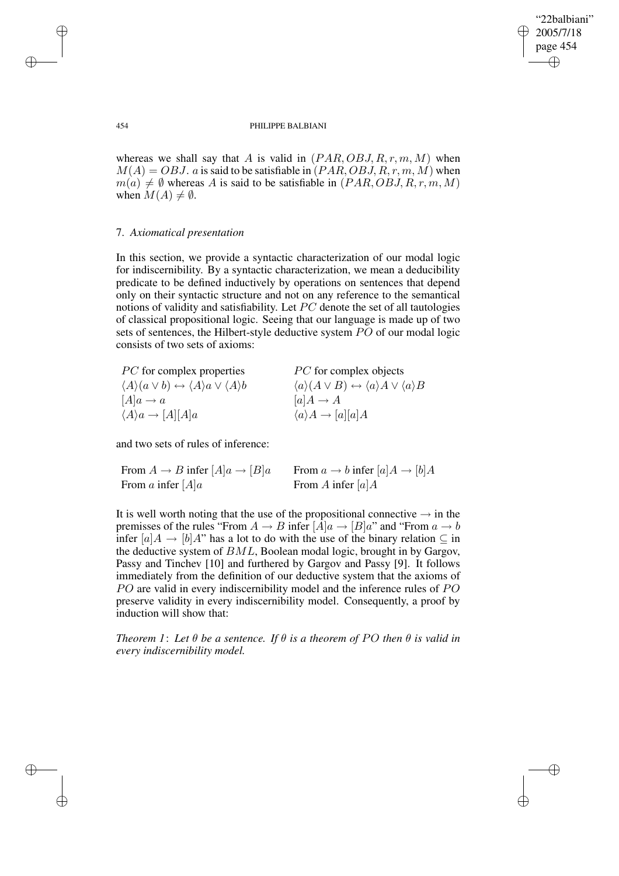✐

## 454 PHILIPPE BALBIANI

whereas we shall say that A is valid in  $(PAR, OBJ, R, r, m, M)$  when  $M(A) = OBJ$ . a is said to be satisfiable in  $(PAR, OBJ, R, r, m, M)$  when  $m(a) \neq \emptyset$  whereas A is said to be satisfiable in  $(PAR, OBJ, R, r, m, M)$ when  $M(A) \neq \emptyset$ .

# 7. *Axiomatical presentation*

In this section, we provide a syntactic characterization of our modal logic for indiscernibility. By a syntactic characterization, we mean a deducibility predicate to be defined inductively by operations on sentences that depend only on their syntactic structure and not on any reference to the semantical notions of validity and satisfiability. Let PC denote the set of all tautologies of classical propositional logic. Seeing that our language is made up of two sets of sentences, the Hilbert-style deductive system PO of our modal logic consists of two sets of axioms:

| <i>PC</i> for complex properties                                                            | <i>PC</i> for complex objects                                                               |
|---------------------------------------------------------------------------------------------|---------------------------------------------------------------------------------------------|
| $\langle A \rangle (a \vee b) \leftrightarrow \langle A \rangle a \vee \langle A \rangle b$ | $\langle a \rangle (A \vee B) \leftrightarrow \langle a \rangle A \vee \langle a \rangle B$ |
| $[A]a \rightarrow a$                                                                        | $ a A \rightarrow A$                                                                        |
| $\langle A \rangle a \rightarrow [A][A]a$                                                   | $\langle a \rangle A \rightarrow [a][a]A$                                                   |

and two sets of rules of inference:

| From $A \to B$ infer $[A]a \to [B]a$ | From $a \to b$ infer $[a]A \to [b]A$ |
|--------------------------------------|--------------------------------------|
| From a infer $[A]a$                  | From A infer $[a]A$                  |

It is well worth noting that the use of the propositional connective  $\rightarrow$  in the premisses of the rules "From  $A \to B$  infer  $[A]a \to [B]a$ " and "From  $a \to b$ infer  $[a]A \rightarrow [b]A$ " has a lot to do with the use of the binary relation  $\subseteq$  in the deductive system of BML, Boolean modal logic, brought in by Gargov, Passy and Tinchev [10] and furthered by Gargov and Passy [9]. It follows immediately from the definition of our deductive system that the axioms of PO are valid in every indiscernibility model and the inference rules of PO preserve validity in every indiscernibility model. Consequently, a proof by induction will show that:

*Theorem* 1: Let  $\theta$  be a sentence. If  $\theta$  *is a theorem of PO then*  $\theta$  *is valid in every indiscernibility model.*

✐

✐

✐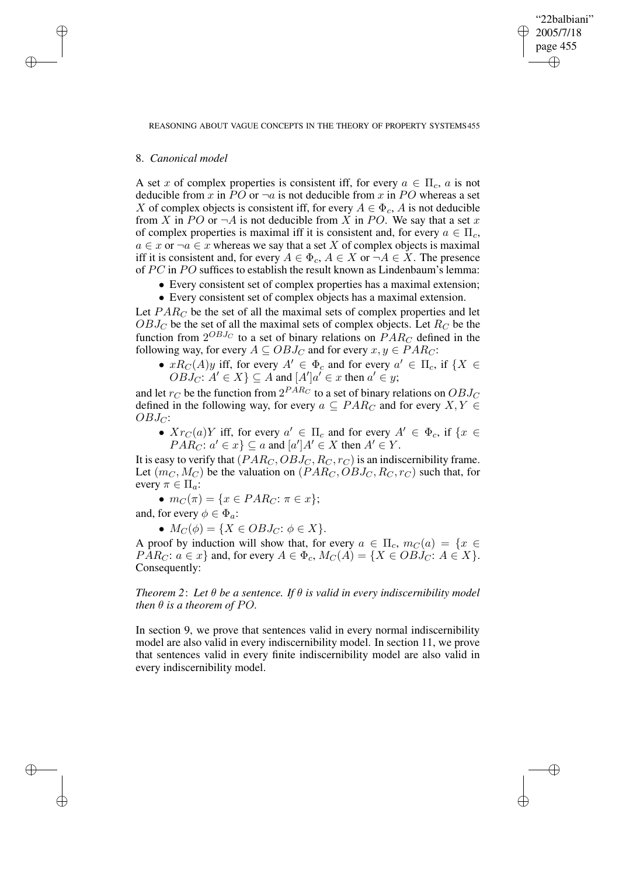✐

#### REASONING ABOUT VAGUE CONCEPTS IN THE THEORY OF PROPERTY SYSTEMS455

# 8. *Canonical model*

✐

✐

✐

✐

A set x of complex properties is consistent iff, for every  $a \in \Pi_c$ , a is not deducible from x in PO or  $\neg a$  is not deducible from x in PO whereas a set X of complex objects is consistent iff, for every  $A \in \Phi_c$ , A is not deducible from X in PO or  $\neg A$  is not deducible from X in PO. We say that a set x of complex properties is maximal iff it is consistent and, for every  $a \in \Pi_c$ ,  $a \in x$  or  $\neg a \in x$  whereas we say that a set X of complex objects is maximal iff it is consistent and, for every  $A \in \Phi_c$ ,  $A \in X$  or  $\neg A \in X$ . The presence of PC in PO suffices to establish the result known as Lindenbaum's lemma:

- Every consistent set of complex properties has a maximal extension;
- Every consistent set of complex objects has a maximal extension.

Let  $PAR_C$  be the set of all the maximal sets of complex properties and let  $OBJ_C$  be the set of all the maximal sets of complex objects. Let  $R_C$  be the function from  $2^{OBJ_C}$  to a set of binary relations on  $\overrightarrow{PAR_C}$  defined in the following way, for every  $A \subseteq OBJ_C$  and for every  $x, y \in PAR_C$ :

•  $xR_C(A)y$  iff, for every  $A' \in \Phi_c$  and for every  $a' \in \Pi_c$ , if  $\{X \in$  $\overrightarrow{OBJ_C}: A' \in X$   $\subseteq$  A and  $[A']a' \in x$  then  $a' \in y$ ;

and let  $r_C$  be the function from  $2^{PAR_C}$  to a set of binary relations on  $OBJ_C$ defined in the following way, for every  $a \subseteq PAR_C$  and for every  $X, Y \in$  $OBJ_C$ :

•  $Xr_C(a)Y$  iff, for every  $a' \in \Pi_c$  and for every  $A' \in \Phi_c$ , if  $\{x \in$  $PAR_C: a' \in \mathcal{x}$   $\subseteq$  a and  $[a']A' \in X$  then  $A' \in Y$ .

It is easy to verify that  $(PAR_C, OBJ_C, R_C, r_C)$  is an indiscernibility frame. Let  $(m_C, M_C)$  be the valuation on  $(PAR_C, OBJ_C, R_C, r_C)$  such that, for every  $\pi \in \Pi_a$ :

•  $m_C(\pi) = \{x \in PAR_C: \pi \in x\};$ and, for every  $\phi \in \Phi_a$ :

•  $M_C(\phi) = \{ X \in OBJ_C : \phi \in X \}.$ 

A proof by induction will show that, for every  $a \in \Pi_c$ ,  $m_C(a) = \{x \in$  $PAR_C: a \in \mathcal{X}$  and, for every  $A \in \Phi_c$ ,  $M_C(A) = \{X \in OBJ_C: A \in \mathcal{X}\}.$ Consequently:

*Theorem 2*: *Let* θ *be a sentence. If* θ *is valid in every indiscernibility model then*  $\theta$  *is a theorem of PO.* 

In section 9, we prove that sentences valid in every normal indiscernibility model are also valid in every indiscernibility model. In section 11, we prove that sentences valid in every finite indiscernibility model are also valid in every indiscernibility model.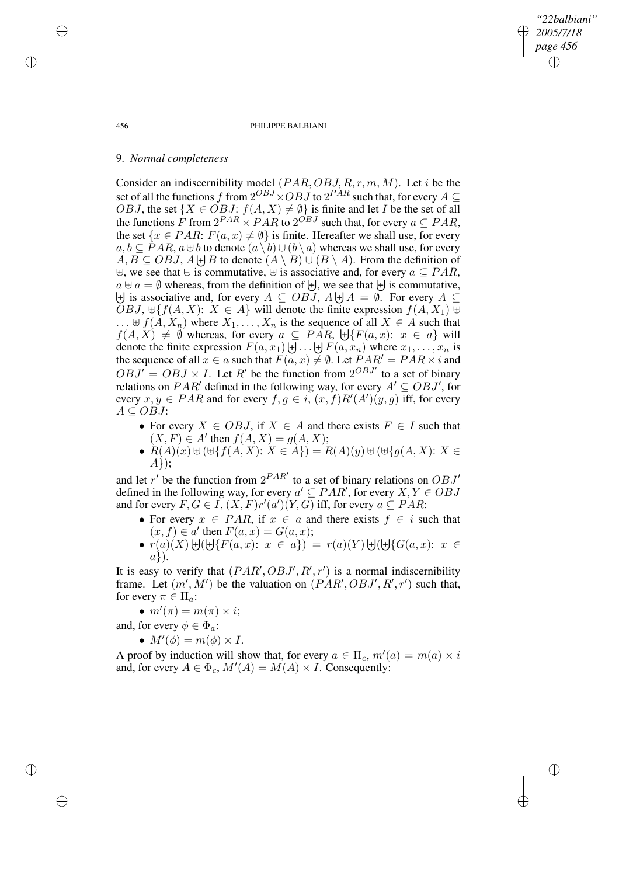456 PHILIPPE BALBIANI

*"22balbiani" 2005/7/18 page 456*

✐

✐

✐

✐

## 9. *Normal completeness*

Consider an indiscernibility model  $(PAR, OBJ, R, r, m, M)$ . Let i be the set of all the functions f from  $2^{OBJ} \times OBJ$  to  $2^{PAR}$  such that, for every  $A \subseteq$ *OBJ*, the set  $\{X \in OBJ: f(A, X) \neq \emptyset\}$  is finite and let *I* be the set of all the functions F from  $2^{PAR} \times PAR$  to  $2^{OBJ}$  such that, for every  $a \subseteq PAR$ , the set  $\{x \in PAR: F(a, x) \neq \emptyset\}$  is finite. Hereafter we shall use, for every  $a, b \subseteq PAR$ ,  $a \oplus b$  to denote  $(a \setminus b) \cup (b \setminus a)$  whereas we shall use, for every  $A, B \subseteq OBJ$ ,  $A \biguplus B$  to denote  $(A \setminus B) \cup (B \setminus A)$ . From the definition of  $\forall$ , we see that  $\forall$  is commutative,  $\forall$  is associative and, for every  $a \subseteq PAR$ ,  $a \oplus a = \emptyset$  whereas, from the definition of  $\biguplus$ , we see that  $\biguplus$  is commutative,  $\biguplus$  is associative and, for every  $A \subseteq OBJ$ ,  $A \biguplus A = \emptyset$ . For every  $A \subseteq$ *OBJ*,  $\forall f$ [*f*(*A, X*): *X* ∈ *A*} will denote the finite expression  $f$ (*A, X*<sub>1</sub>)  $\forall$  $\ldots \oplus f(A, X_n)$  where  $X_1, \ldots, X_n$  is the sequence of all  $X \in A$  such that  $f(A, X) \neq \emptyset$  whereas, for every  $a \subseteq PAR$ ,  $\bigoplus \{F(a, x): x \in a\}$  will denote the finite expression  $F(a, x_1) \cup ... \cup F(a, x_n)$  where  $x_1, ..., x_n$  is the sequence of all  $x \in a$  such that  $F(a, x) \neq \emptyset$ . Let  $PAR' = PAR \times i$  and  $\overrightarrow{OBJ'} = \overrightarrow{OBJ} \times I$ . Let R' be the function from  $2^{OBJ'}$  to a set of binary relations on PAR' defined in the following way, for every  $A' \subseteq OBJ'$ , for every  $x, y \in PAR$  and for every  $f, g \in i$ ,  $(x, f)R'(A')(y, g)$  iff, for every  $A \subseteq OBJ$ :

- For every  $X \in OBJ$ , if  $X \in A$  and there exists  $F \in I$  such that  $(X, F) \in A'$  then  $f(A, X) = g(A, X);$
- $R(A)(x) \cup (\cup \{f(A, X): X \in A\}) = R(A)(y) \cup (\cup \{g(A, X): X \in A\})$ A});

and let r' be the function from  $2^{PAR'}$  to a set of binary relations on  $OBJ'$ defined in the following way, for every  $a' \subseteq PAR'$ , for every  $X, Y \in OBJ$ and for every  $F, G \in I$ ,  $(X, F)r'(a')(Y, G)$  iff, for every  $a \subseteq PAR$ :

- For every  $x \in PAR$ , if  $x \in a$  and there exists  $f \in i$  such that  $(x, f) \in a'$  then  $F(a, x) = G(a, x);$
- $r(a)(X) \cup (\cup \{F(a,x): x \in a\}) = r(a)(Y) \cup (\cup \{G(a,x): x \in A\})$  $a$ }).

It is easy to verify that  $(PAR', OBJ', R', r')$  is a normal indiscernibility frame. Let  $(m', M')$  be the valuation on  $(PAR', OBJ', R', r')$  such that, for every  $\pi \in \Pi_a$ :

•  $m'(\pi) = m(\pi) \times i;$ 

and, for every  $\phi \in \Phi_a$ :

•  $M'(\phi) = m(\phi) \times I$ .

A proof by induction will show that, for every  $a \in \Pi_c$ ,  $m'(a) = m(a) \times i$ and, for every  $A \in \Phi_c$ ,  $M'(A) = M(A) \times I$ . Consequently:

✐

✐

✐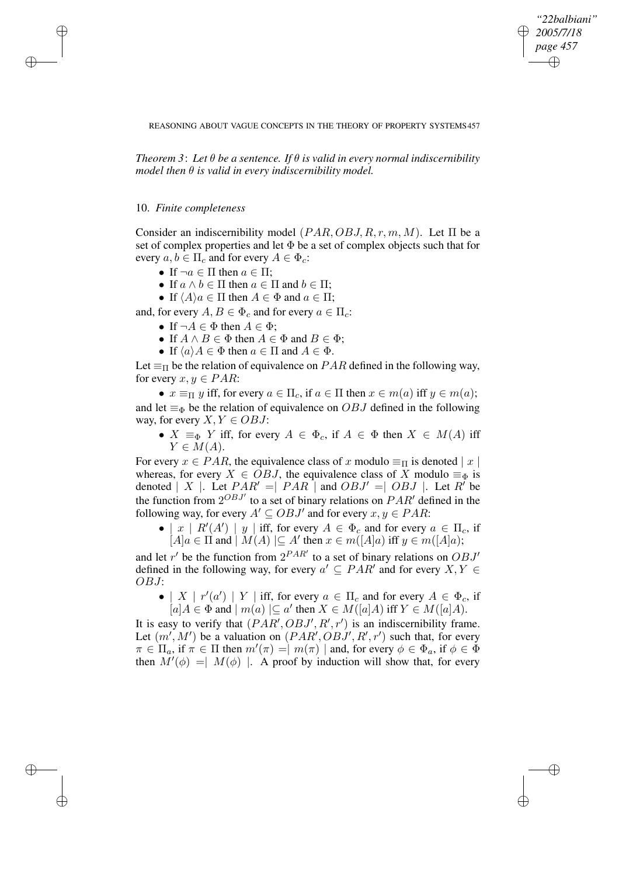*"22balbiani" 2005/7/18 page 457* ✐ ✐

✐

✐

#### REASONING ABOUT VAGUE CONCEPTS IN THE THEORY OF PROPERTY SYSTEMS457

*Theorem 3*: *Let* θ *be a sentence. If* θ *is valid in every normal indiscernibility model then*  $\theta$  *is valid in every indiscernibility model.* 

## 10. *Finite completeness*

✐

✐

✐

✐

Consider an indiscernibility model  $(PAR, OBJ, R, r, m, M)$ . Let  $\Pi$  be a set of complex properties and let  $\Phi$  be a set of complex objects such that for every  $a, b \in \Pi_c$  and for every  $A \in \Phi_c$ :

- If  $\neg a \in \Pi$  then  $a \in \Pi$ ;
- If  $a \wedge b \in \Pi$  then  $a \in \Pi$  and  $b \in \Pi$ ;
- If  $\langle A \rangle a \in \Pi$  then  $A \in \Phi$  and  $a \in \Pi$ ;

and, for every  $A, B \in \Phi_c$  and for every  $a \in \Pi_c$ :

- If  $\neg A \in \Phi$  then  $A \in \Phi$ ;
- If  $A \wedge B \in \Phi$  then  $A \in \Phi$  and  $B \in \Phi$ ;
- If  $\langle a \rangle A \in \Phi$  then  $a \in \Pi$  and  $A \in \Phi$ .

Let  $\equiv_{\Pi}$  be the relation of equivalence on *PAR* defined in the following way, for every  $x, y \in PAR$ :

•  $x \equiv_{\Pi} y$  iff, for every  $a \in \Pi_c$ , if  $a \in \Pi$  then  $x \in m(a)$  iff  $y \in m(a)$ ; and let  $\equiv_{\Phi}$  be the relation of equivalence on *OBJ* defined in the following way, for every  $X, Y \in OBJ$ :

•  $X \equiv_{\Phi} Y$  iff, for every  $A \in \Phi_c$ , if  $A \in \Phi$  then  $X \in M(A)$  iff  $Y \in M(A).$ 

For every  $x \in PAR$ , the equivalence class of x modulo  $\equiv_{\Pi}$  is denoted  $|x|$ whereas, for every  $X \in \overline{OBJ}$ , the equivalence class of X modulo  $\equiv_{\Phi}$  is denoted  $| X |$ . Let  $PAR' = | PAR |$  and  $OBJ' = | OBJ |$ . Let R' be the function from  $2^{OBJ'}$  to a set of binary relations on  $PAR'$  defined in the following way, for every  $A' \subseteq OBJ'$  and for every  $x, y \in PAR$ :

• | x |  $R'(A')$  | y | iff, for every  $A \in \Phi_c$  and for every  $a \in \Pi_c$ , if  $[A]a \in \Pi$  and  $[M(A)] \subseteq A'$  then  $x \in m([A]a)$  iff  $y \in m([A]a)$ ;

and let r' be the function from  $2^{PAR'}$  to a set of binary relations on  $OBJ'$ defined in the following way, for every  $a' \subseteq PAR'$  and for every  $X, Y \in$ OBJ:

• | X |  $r'(a')$  | Y | iff, for every  $a \in \Pi_c$  and for every  $A \in \Phi_c$ , if  $[a]A \in \Phi$  and  $|m(a)| \subseteq a'$  then  $X \in M([a]A)$  iff  $Y \in M([a]A)$ .

It is easy to verify that  $(PAR', OBJ', R', r')$  is an indiscernibility frame. Let  $(m', M')$  be a valuation on  $(PAR', OBJ', R', r')$  such that, for every  $\pi \in \Pi_a$ , if  $\pi \in \Pi$  then  $m'(\pi) = |m(\pi)|$  and, for every  $\phi \in \Phi_a$ , if  $\phi \in \Phi$ then  $M'(\phi) = | M(\phi) |$ . A proof by induction will show that, for every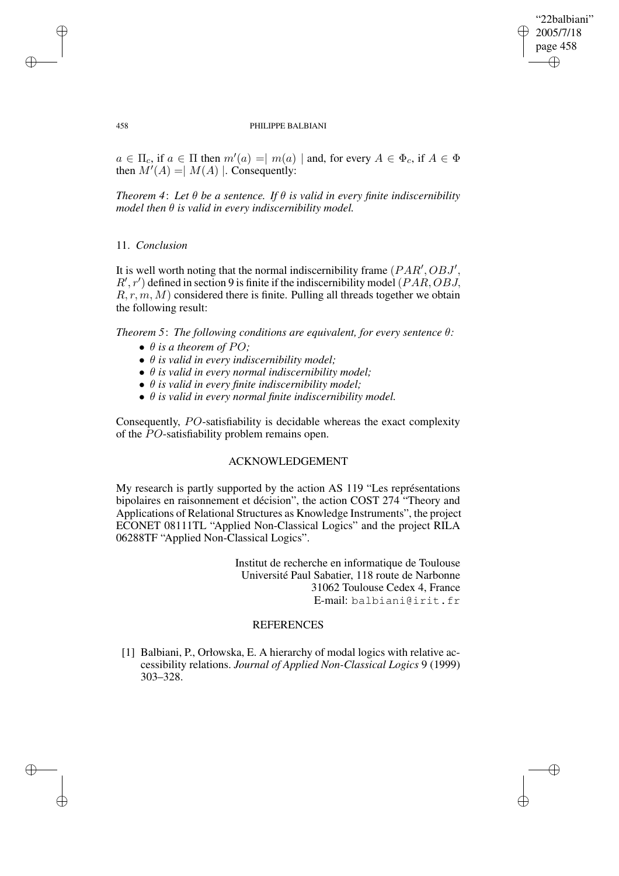# "22balbiani" 2005/7/18 page 458 ✐ ✐

✐

✐

#### 458 PHILIPPE BALBIANI

 $a \in \Pi_c$ , if  $a \in \Pi$  then  $m'(a) = |m(a)|$  and, for every  $A \in \Phi_c$ , if  $A \in \Phi$ then  $M'(A) = | M(A) |$ . Consequently:

*Theorem* 4: Let  $\theta$  be a sentence. If  $\theta$  is valid in every finite indiscernibility *model then*  $\theta$  *is valid in every indiscernibility model.* 

# 11. *Conclusion*

It is well worth noting that the normal indiscernibility frame  $(PAR', OBJ',$  $R', r'$ ) defined in section 9 is finite if the indiscernibility model (PAR, OBJ,  $R, r, m, M$ ) considered there is finite. Pulling all threads together we obtain the following result:

*Theorem 5*: *The following conditions are equivalent, for every sentence* θ*:*

- $\bullet$   $\theta$  *is a theorem of PO*;
- θ *is valid in every indiscernibility model;*
- θ *is valid in every normal indiscernibility model;*
- θ *is valid in every finite indiscernibility model;*
- θ *is valid in every normal finite indiscernibility model.*

Consequently, PO-satisfiability is decidable whereas the exact complexity of the PO-satisfiability problem remains open.

# ACKNOWLEDGEMENT

My research is partly supported by the action AS 119 "Les représentations bipolaires en raisonnement et décision", the action COST 274 "Theory and Applications of Relational Structures as Knowledge Instruments", the project ECONET 08111TL "Applied Non-Classical Logics" and the project RILA 06288TF "Applied Non-Classical Logics".

> Institut de recherche en informatique de Toulouse Université Paul Sabatier, 118 route de Narbonne 31062 Toulouse Cedex 4, France E-mail: balbiani@irit.fr

# **REFERENCES**

[1] Balbiani, P., Orłowska, E. A hierarchy of modal logics with relative accessibility relations. *Journal of Applied Non-Classical Logics* 9 (1999) 303–328.

✐

✐

✐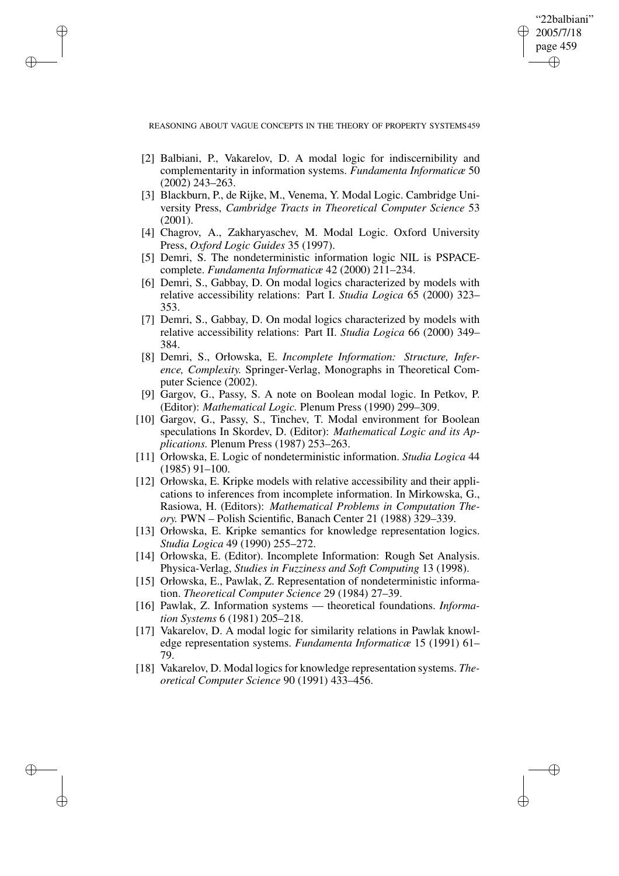"22balbiani" 2005/7/18 page 459 ✐ ✐

✐

✐

REASONING ABOUT VAGUE CONCEPTS IN THE THEORY OF PROPERTY SYSTEMS459

✐

✐

✐

- [2] Balbiani, P., Vakarelov, D. A modal logic for indiscernibility and complementarity in information systems. *Fundamenta Informaticæ* 50 (2002) 243–263.
- [3] Blackburn, P., de Rijke, M., Venema, Y. Modal Logic. Cambridge University Press, *Cambridge Tracts in Theoretical Computer Science* 53 (2001).
- [4] Chagrov, A., Zakharyaschev, M. Modal Logic. Oxford University Press, *Oxford Logic Guides* 35 (1997).
- [5] Demri, S. The nondeterministic information logic NIL is PSPACEcomplete. *Fundamenta Informaticæ* 42 (2000) 211–234.
- [6] Demri, S., Gabbay, D. On modal logics characterized by models with relative accessibility relations: Part I. *Studia Logica* 65 (2000) 323– 353.
- [7] Demri, S., Gabbay, D. On modal logics characterized by models with relative accessibility relations: Part II. *Studia Logica* 66 (2000) 349– 384.
- [8] Demri, S., Orłowska, E. *Incomplete Information: Structure, Inference, Complexity.* Springer-Verlag, Monographs in Theoretical Computer Science (2002).
- [9] Gargov, G., Passy, S. A note on Boolean modal logic. In Petkov, P. (Editor): *Mathematical Logic.* Plenum Press (1990) 299–309.
- [10] Gargov, G., Passy, S., Tinchev, T. Modal environment for Boolean speculations In Skordev, D. (Editor): *Mathematical Logic and its Applications.* Plenum Press (1987) 253–263.
- [11] Orłowska, E. Logic of nondeterministic information. *Studia Logica* 44 (1985) 91–100.
- [12] Orłowska, E. Kripke models with relative accessibility and their applications to inferences from incomplete information. In Mirkowska, G., Rasiowa, H. (Editors): *Mathematical Problems in Computation Theory.* PWN – Polish Scientific, Banach Center 21 (1988) 329–339.
- [13] Orłowska, E. Kripke semantics for knowledge representation logics. *Studia Logica* 49 (1990) 255–272.
- [14] Orłowska, E. (Editor). Incomplete Information: Rough Set Analysis. Physica-Verlag, *Studies in Fuzziness and Soft Computing* 13 (1998).
- [15] Orłowska, E., Pawlak, Z. Representation of nondeterministic information. *Theoretical Computer Science* 29 (1984) 27–39.
- [16] Pawlak, Z. Information systems theoretical foundations. *Information Systems* 6 (1981) 205–218.
- [17] Vakarelov, D. A modal logic for similarity relations in Pawlak knowledge representation systems. *Fundamenta Informaticæ* 15 (1991) 61– 79.
- [18] Vakarelov, D. Modal logicsfor knowledge representation systems. *Theoretical Computer Science* 90 (1991) 433–456.